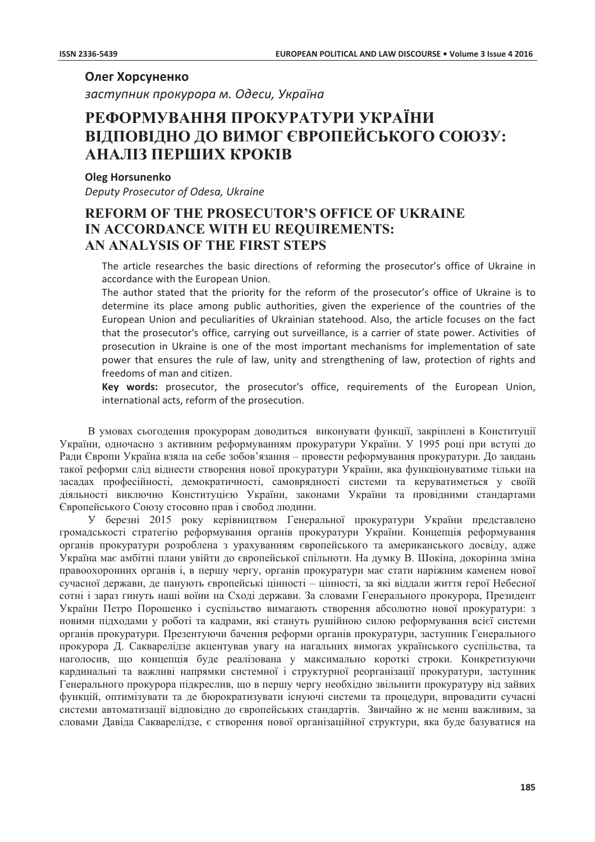# Олег Хорсуненко

заступник прокурора м. Одеси, Україна

# РЕФОРМУВАННЯ ПРОКУРАТУРИ УКРАЇНИ ВІДПОВІДНО ДО ВИМОГ ЄВРОПЕЙСЬКОГО СОЮЗУ: АНАЛІЗ ПЕРШИХ КРОКІВ

## **Oleg Horsunenko**

Deputy Prosecutor of Odesa, Ukraine

# **REFORM OF THE PROSECUTOR'S OFFICE OF UKRAINE** IN ACCORDANCE WITH EU REQUIREMENTS: AN ANALYSIS OF THE FIRST STEPS

The article researches the basic directions of reforming the prosecutor's office of Ukraine in accordance with the European Union.

The author stated that the priority for the reform of the prosecutor's office of Ukraine is to determine its place among public authorities, given the experience of the countries of the European Union and peculiarities of Ukrainian statehood. Also, the article focuses on the fact that the prosecutor's office, carrying out surveillance, is a carrier of state power. Activities of prosecution in Ukraine is one of the most important mechanisms for implementation of sate power that ensures the rule of law, unity and strengthening of law, protection of rights and freedoms of man and citizen.

Key words: prosecutor, the prosecutor's office, requirements of the European Union, international acts, reform of the prosecution.

В умовах сьогодення прокурорам доводиться виконувати функції, закріплені в Конституції України, одночасно з активним реформуванням прокуратури України. У 1995 році при вступі до Ради Європи Україна взяла на себе зобов'язання – провести реформування прокуратури. До завдань такої реформи слід віднести створення нової прокуратури України, яка функціонуватиме тільки на засадах професійності, демократичності, самоврядності системи та керуватиметься у своїй діяльності виключно Конституцією України, законами України та провідними стандартами Європейського Союзу стосовно прав і свобод людини.

У березні 2015 року керівництвом Генеральної прокуратури України представлено громадськості стратегію реформування органів прокуратури України. Концепція реформування органів прокуратури розроблена з урахуванням європейського та американського досвіду, адже Україна має амбітні плани увійти до європейської спільноти. На думку В. Шокіна, докорінна зміна правоохоронних органів і, в першу чергу, органів прокуратури має стати наріжним каменем нової сучасної держави, де панують європейські цінності - цінності, за які віддали життя герої Небесної сотні і зараз гинуть наші воїни на Сході держави. За словами Генерального прокурора, Президент України Петро Порошенко і суспільство вимагають створення абсолютно нової прокуратури: з новими підходами у роботі та кадрами, які стануть рушійною силою реформування всієї системи органів прокуратури. Презентуючи бачення реформи органів прокуратури, заступник Генерального прокурора Д. Сакварелідзе акцентував увагу на нагальних вимогах українського суспільства, та наголосив, що концепція буде реалізована у максимально короткі строки. Конкретизуючи кардинальні та важливі напрямки системної і структурної реорганізації прокуратури, заступник Генерального прокурора пілкреслив, що в першу чергу необхілно звільнити прокуратуру віл зайвих функцій, оптимізувати та де бюрократизувати існуючі системи та процедури, впровадити сучасні системи автоматизації відповідно до європейських стандартів. Звичайно ж не менш важливим, за словами Давіда Сакварелідзе, є створення нової організаційної структури, яка буде базуватися на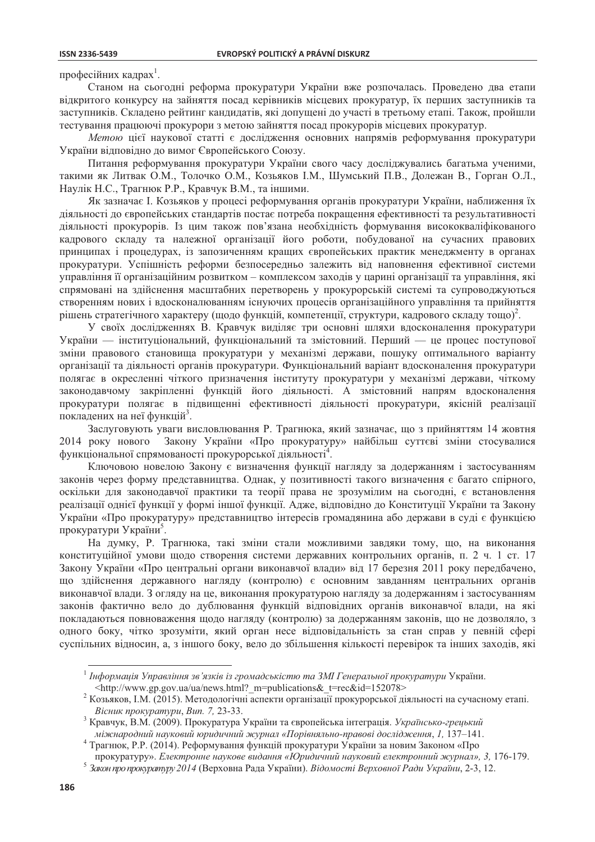#### **ISSN 2336-5439**

професійних калрах<sup>1</sup>.

Станом на сьогодні реформа прокуратури України вже розпочалась. Проведено два етапи відкритого конкурсу на зайняття посад керівників місцевих прокуратур, їх перших заступників та заступників. Складено рейтинг кандидатів, які допущені до участі в третьому етапі. Також, пройшли тестування працюючі прокурори з метою зайняття посад прокурорів місцевих прокуратур.

Метою цієї наукової статті є дослідження основних напрямів реформування прокуратури України відповідно до вимог Європейського Союзу.

Питання реформування прокуратури України свого часу досліджувались багатьма ученими, такими як Литвак О.М., Толочко О.М., Козьяков І.М., Шумський П.В., Долежан В., Горган О.Л., Наулік Н.С., Трагнюк Р.Р., Кравчук В.М., та іншими.

Як зазначає І. Козьяков у процесі реформування органів прокуратури України, наближення їх діяльності до європейських стандартів постає потреба покращення ефективності та результативності діяльності прокурорів. Із цим також пов'язана необхідність формування висококваліфікованого кадрового складу та належної організації його роботи, побудованої на сучасних правових принципах і процедурах, із запозиченням кращих європейських практик менеджменту в органах прокуратури. Успішність реформи безпосередньо залежить від наповнення ефективної системи управління її організаційним розвитком – комплексом заходів у царині організації та управління, які спрямовані на здійснення масштабних перетворень у прокурорській системі та супроводжуються створенням нових і вдосконалюванням існуючих процесів організаційного управління та прийняття рішень стратегічного характеру (щодо функцій, компетенції, структури, кадрового складу тощо).

У своїх дослідженнях В. Кравчук виділяє три основні шляхи вдосконалення прокуратури України — інституціональний, функціональний та змістовний. Перший — це процес поступової зміни правового становища прокуратури у механізмі держави, пошуку оптимального варіанту організації та діяльності органів прокуратури. Функціональний варіант вдосконалення прокуратури полягає в окресленні чіткого призначення інституту прокуратури у механізмі держави, чіткому законодавчому закріпленні функцій його діяльності. А змістовний напрям вдосконалення прокуратури полягає в підвищенні ефективності діяльності прокуратури, якісній реалізації покладених на неї функцій<sup>3</sup>.

Заслуговують уваги висловлювання Р. Трагнюка, який зазначає, що з прийняттям 14 жовтня 2014 року нового Закону України «Про прокуратуру» найбільш суттєві зміни стосувалися функціональної спрямованості прокурорської діяльності<sup>4</sup>.

Ключовою новелою Закону є визначення функції нагляду за додержанням і застосуванням законів через форму представництва. Однак, у позитивності такого визначення є багато спірного, оскільки для законодавчої практики та теорії права не зрозумілим на сьогодні, є встановлення реалізації однієї функції у формі іншої функції. Адже, відповідно до Конституції України та Закону України «Про прокуратуру» представництво інтересів громадянина або держави в суді є функцією прокуратури України<sup>5</sup>.

На думку, Р. Трагнюка, такі зміни стали можливими завдяки тому, що, на виконання конституційної умови шоло створення системи державних контрольних органів, п. 2 ч. 1 ст. 17 Закону України «Про центральні органи виконавчої влади» від 17 березня 2011 року передбачено, що здійснення державного нагляду (контролю) є основним завданням центральних органів виконавчої влади. З огляду на це, виконання прокуратурою нагляду за додержанням і застосуванням законів фактично вело до дублювання функцій відповідних органів виконавчої влади, на які покладаються повноваження щодо нагляду (контролю) за додержанням законів, що не дозволяло, з одного боку, чітко зрозуміти, який орган несе відповідальність за стан справ у певній сфері суспільних відносин, а, з іншого боку, вело до збільшення кількості перевірок та інших заходів, які

 $^{-1}$  Інформація Управління зв'язків із громадськістю та ЗМІ Генеральної прокуратури України. <http://www.gp.gov.ua/ua/news.html? m=publications& t=rec&id=152078>

 $\overline{\mathbf{c}}$ Козьяков, І.М. (2015). Методологічні аспекти організації прокурорської діяльності на сучасному етапі. Вісник прокуратури, Вип. 7, 23-33.

<sup>&</sup>lt;sup>3</sup> Кравчук, В.М. (2009). Прокуратура України та європейська інтеграція. Українсько-грецький міжнародний науковий юридичний журнал «Порівняльно-правові дослідження, 1, 137-141.

Трагнюк, Р.Р. (2014). Реформування функцій прокуратури України за новим Законом «Про

прокуратуру». Електронне наукове видання «Юридичний науковий електронний журнал», 3, 176-179.

<sup>5</sup> Закон про прокуратуру 2014 (Верховна Рада України). Відомості Верховної Ради України, 2-3, 12.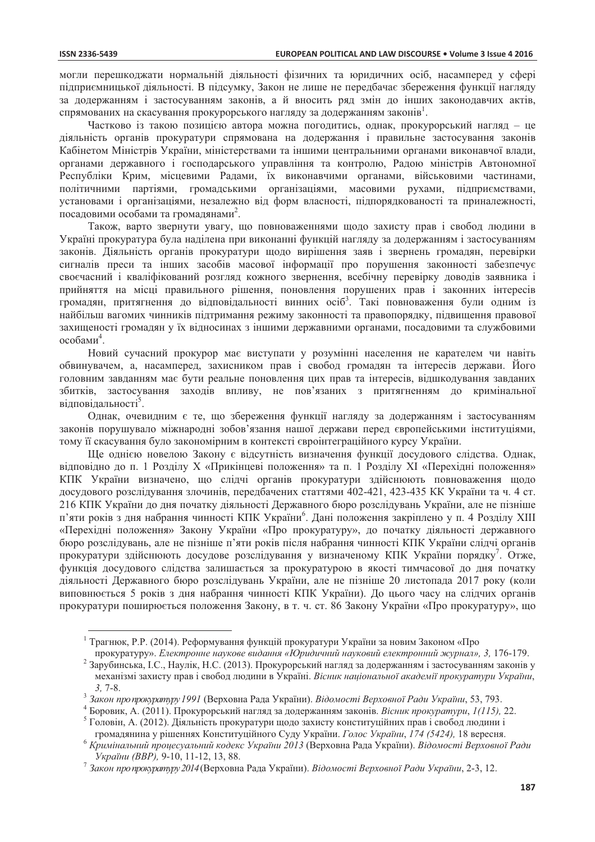могли перешколжати нормальній ліяльності фізичних та юриличних осіб, насамперел у сфері підприємницької діяльності. В підсумку, Закон не лише не передбачає збереження функції нагляду за додержанням і застосуванням законів, а й вносить ряд змін до інших законодавчих актів, спрямованих на скасування прокурорського нагляду за додержанням законів<sup>1</sup>.

Частково із такою позицією автора можна погодитись, однак, прокурорський нагляд - це діяльність органів прокуратури спрямована на додержання і правильне застосування законів Кабінетом Міністрів України, міністерствами та іншими центральними органами виконавчої влади, органами державного і господарського управління та контролю, Радою міністрів Автономної Республіки Крим, місцевими Радами, їх виконавчими органами, військовими частинами, політичними партіями, громадськими організаціями, масовими рухами, підприємствами, установами і організаціями, незалежно від форм власності, підпорядкованості та приналежності, посадовими особами та громадянами<sup>2</sup>.

Також, варто звернути увагу, що повноваженнями щодо захисту прав і свобод людини в Україні прокуратура була наділена при виконанні функцій нагляду за додержанням і застосуванням законів. Діяльність органів прокуратури щодо вирішення заяв і звернень громадян, перевірки сигналів преси та інших засобів масової інформації про порушення законності забезпечує своєчасний і кваліфікований розгляд кожного звернення, всебічну перевірку доводів заявника і прийняття на місці правильного рішення, поновлення порушених прав і законних інтересів громадян, притягнення до відповідальності винних осіб<sup>3</sup>. Такі повноваження були одним із найбільш вагомих чинників підтримання режиму законності та правопорядку, підвищення правової захищеності громадян у їх відносинах з іншими державними органами, посадовими та службовими  $\alpha$ собами<sup>4</sup>.

Новий сучасний прокурор має виступати у розумінні населення не карателем чи навіть обвинувачем, а, насамперед, захисником прав і свобод громадян та інтересів держави. Його головним завданням має бути реальне поновлення цих прав та інтересів, відшкодування завданих збитків, застосування заходів впливу, не пов'язаних з притягненням до кримінальної відповідальності<sup>5</sup>.

Однак, очевидним є те, що збереження функції нагляду за додержанням і застосуванням законів порушувало міжнародні зобов'язання нашої держави перед європейськими інституціями, тому її скасування було закономірним в контексті євроінтеграційного курсу України.

Ще однією новелою Закону є відсутність визначення функції досудового слідства. Однак, відповідно до п. 1 Розділу X «Прикінцеві положення» та п. 1 Розділу XI «Перехідні положення» КПК України визначено, що слідчі органів прокуратури здійснюють повноваження щодо досудового розслідування злочинів, передбачених статтями 402-421, 423-435 КК України та ч. 4 ст. 216 КПК України до дня початку діяльності Державного бюро розслідувань України, але не пізніше п'яти років з дня набрання чинності КПК України<sup>6</sup>. Дані положення закріплено у п. 4 Розділу XIII «Перехідні положення» Закону України «Про прокуратуру», до початку діяльності державного бюро розслідувань, але не пізніше п'яти років після набрання чинності КПК України слідчі органів прокуратури злійснюють лосудове розслідування у визначеному КПК України порядку<sup>7</sup>. Отже, функція досудового слідства залишається за прокуратурою в якості тимчасової до дня початку діяльності Державного бюро розслідувань України, але не пізніше 20 листопада 2017 року (коли виповнюється 5 років з дня набрання чинності КПК України). До цього часу на слідчих органів прокуратури поширюється положення Закону, в т. ч. ст. 86 Закону України «Про прокуратуру», що

<sup>&</sup>lt;sup>1</sup> Трагнюк, Р.Р. (2014). Реформування функцій прокуратури України за новим Законом «Про

прокуратуру». Електронне наукове видання «Юридичний науковий електронний журнал», 3, 176-179. <sup>2</sup> Зарубинська, І.С., Наулік, Н.С. (2013). Прокурорський нагляд за додержанням і застосуванням законів у механізмі захисту прав і свобол людини в Україні. Вісник національної академії прокуратури України,  $3, 7 - 8.$ 

<sup>&</sup>lt;sup>3</sup> Закон про прокуратуру 1991 (Верховна Рада України). Відомості Верховної Ради України, 53, 793.

<sup>4</sup> Боровик, А. (2011). Прокурорський нагляд за додержанням законів. Вісник прокуратури, 1(115), 22.

<sup>5</sup> Головін, А. (2012). Діяльність прокуратури щодо захисту конституційних прав і свобод людини і

громадянина у рішеннях Конституційного Суду України. Голос України, 174 (5424), 18 вересня. <sup>6</sup> Кримінальний процесуальний кодекс України 2013 (Верховна Рада України). Відомості Верховної Ради України (ВВР), 9-10, 11-12, 13, 88.

<sup>7</sup> Закон про прокуратуру 2014 (Верховна Рада України). Відомості Верховної Ради України, 2-3, 12.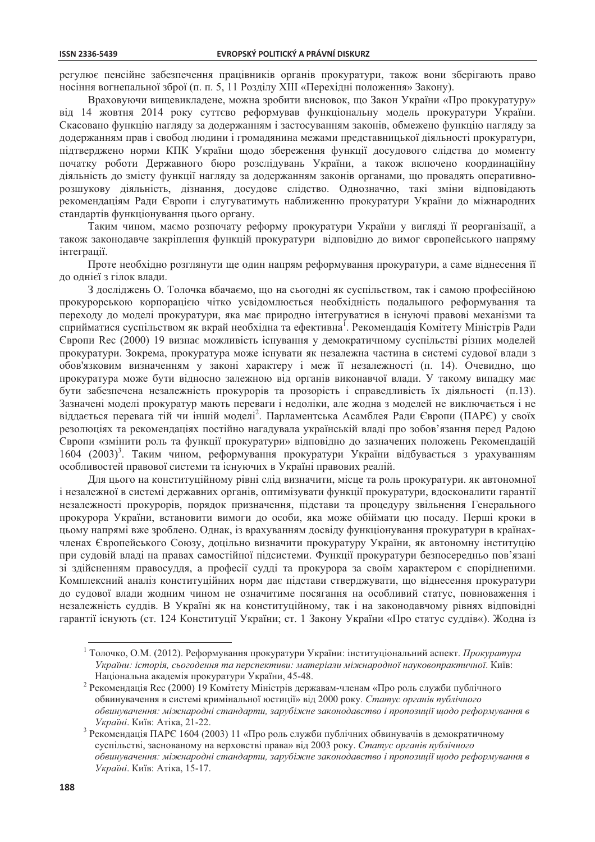регулює пенсійне забезпечення працівників органів прокуратури, також вони зберігають право носіння вогнепальної зброї (п. п. 5, 11 Розділу XIII «Перехідні положення» Закону).

Враховуючи вищевикладене, можна зробити висновок, що Закон України «Про прокуратуру» від 14 жовтня 2014 року суттєво реформував функціональну модель прокуратури України. Скасовано функцію нагляду за додержанням і застосуванням законів, обмежено функцію нагляду за додержанням прав і свобод людини і громадянина межами представницької діяльності прокуратури, підтверджено норми КПК України щодо збереження функції досудового слідства до моменту початку роботи Державного бюро розслідувань України, а також включено координаційну діяльність до змісту функції нагляду за додержанням законів органами, що провадять оперативнорозшукову діяльність, дізнання, досудове слідство. Однозначно, такі зміни відповідають рекомендаціям Ради Європи і слугуватимуть наближенню прокуратури України до міжнародних стандартів функціонування цього органу.

Таким чином, маємо розпочату реформу прокуратури України у вигляді її реорганізації, а також законодавче закріплення функцій прокуратури відповідно до вимог європейського напряму інтеграції.

Проте необхідно розглянути ще один напрям реформування прокуратури, а саме віднесення її до однієї з гілок влади.

3 досліджень О. Толочка вбачаємо, що на сьогодні як суспільством, так і самою професійною прокурорською корпорацією чітко усвідомлюється необхідність подальшого реформування та переходу до моделі прокуратури, яка має природно інтегруватися в існуючі правові механізми та сприйматися суспільством як вкрай необхідна та ефективна<sup>1</sup>. Рекомендація Комітету Міністрів Ради Європи Rec (2000) 19 визнає можливість існування у демократичному суспільстві різних моделей прокуратури. Зокрема, прокуратура може існувати як незалежна частина в системі судової влади з обов'язковим визначенням у законі характеру і меж її незалежності (п. 14). Очевидно, що прокуратура може бути відносно залежною від органів виконавчої влади. У такому випадку має бути забезпечена незалежність прокурорів та прозорість і справедливість їх діяльності (п.13). Зазначені моделі прокуратур мають переваги і недоліки, але жодна з моделей не виключається і не віддається перевага тій чи іншій моделі<sup>2</sup>. Парламентська Асамблея Ради Європи (ПАРЄ) у своїх резолюціях та рекомендаціях постійно нагадувала українській владі про зобов'язання перед Радою Європи «змінити роль та функції прокуратури» відповідно до зазначених положень Рекомендацій 1604 (2003)<sup>3</sup>. Таким чином, реформування прокуратури України відбувається з урахуванням особливостей правової системи та існуючих в Україні правових реалій.

Для цього на конституційному рівні слід визначити, місце та роль прокуратури, як автономної і незалежної в системі державних органів, оптимізувати функції прокуратури, вдосконалити гарантії незалежності прокурорів, порядок призначення, підстави та процедуру звільнення Генерального прокурора України, встановити вимоги до особи, яка може обіймати цю посаду. Перші кроки в цьому напрямі вже зроблено. Однак, із врахуванням досвіду функціонування прокуратури в країнахчленах Європейського Союзу, доцільно визначити прокуратуру України, як автономну інституцію при суловій влалі на правах самостійної пілсистеми. Функції прокуратури безпосерелньо пов'язані зі здійсненням правосуддя, а професії судді та прокурора за своїм характером є спорідненими. Комплексний аналіз конституційних норм дає підстави стверджувати, що віднесення прокуратури до судової влади жодним чином не означитиме посягання на особливий статус, повноваження і незалежність суддів. В Україні як на конституційному, так і на законодавчому рівнях відповідні гарантії існують (ст. 124 Конституції України; ст. 1 Закону України «Про статус суддів«). Жодна із

<sup>&</sup>lt;sup>1</sup> Толочко, О.М. (2012). Реформування прокуратури України: інституціональний аспект. Прокуратура України: історія, сьогодення та перспективи: матеріали міжнародної науковопрактичної. Київ: Національна академія прокуратури України, 45-48.

 $\overline{\mathbf{c}}$ Рекомендація Rec (2000) 19 Комітету Міністрів державам-членам «Про роль служби публічного обвинувачення в системі кримінальної юстиції» від 2000 року. Статус органів публічного обвинувачення: міжнародні стандарти, зарубіжне законодавство і пропозиції щодо реформування в Україні. Київ: Атіка, 21-22.

Рекомендація ПАРЄ 1604 (2003) 11 «Про роль служби публічних обвинувачів в демократичному суспільстві, заснованому на верховстві права» від 2003 року. Статує органів публічного обвинувачення: міжнародні стандарти, зарубіжне законодавство і пропозиції щодо реформування в Україні. Київ: Атіка, 15-17.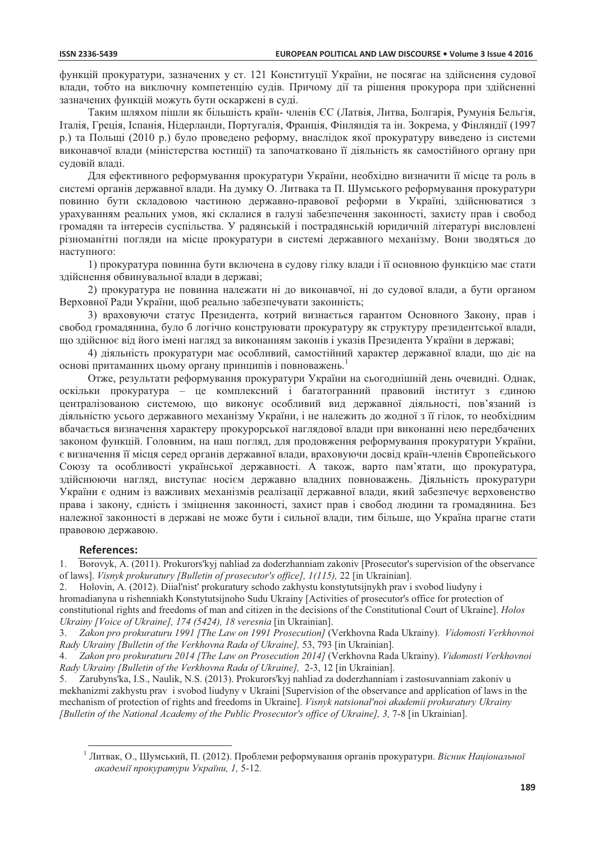функцій прокуратури, зазначених у ст. 121 Конституції України, не посягає на злійснення судової влади, тобто на виключну компетенцію судів. Причому дії та рішення прокурора при здійсненні зазначених функцій можуть бути оскаржені в суді.

Таким шляхом пішли як більшість країн- членів ЄС (Латвія, Литва, Болгарія, Румунія Бельгія, Італія, Греція, Іспанія, Нідерланди, Португалія, Франція, Фінляндія та ін. Зокрема, у Фінляндії (1997 р.) та Польщі (2010 р.) було проведено реформу, внаслідок якої прокуратуру виведено із системи виконавчої влади (міністерства юстиції) та започатковано її діяльність як самостійного органу при суловій влалі.

Для ефективного реформування прокуратури України, необхідно визначити її місце та роль в системі органів державної влади. На думку О. Литвака та П. Шумського реформування прокуратури повинно бути складовою частиною державно-правової реформи в Україні, здійснюватися з урахуванням реальних умов, які склалися в галузі забезпечення законності, захисту прав і свобод громадян та інтересів суспільства. У радянській і пострадянській юридичній літературі висловлені різноманітні погляди на місце прокуратури в системі державного механізму. Вони зводяться до наступного:

1) прокуратура повинна бути включена в судову гілку влади і її основною функцією має стати здійснення обвинувальної влади в державі;

2) прокуратура не повинна належати ні до виконавчої, ні до судової влади, а бути органом Верховної Ради України, щоб реально забезпечувати законність;

3) враховуючи статус Президента, котрий визнається гарантом Основного Закону, прав і свобод громадянина, було б логічно конструювати прокуратуру як структуру президентської влади, що здійснює від його імені нагляд за виконанням законів і указів Президента України в державі;

4) діяльність прокуратури має особливий, самостійний характер державної влади, що діє на основі притаманних цьому органу принципів і повноважень.

Отже, результати реформування прокуратури України на сьогоднішній день очевидні. Однак, оскільки прокуратура - це комплексний і багатогранний правовий інститут з єдиною централізованою системою, що виконує особливий вид державної діяльності, пов'язаний із діяльністю усього державного механізму України, і не належить до жодної з її гілок, то необхідним вбачається визначення характеру прокурорської наглядової влади при виконанні нею передбачених законом функцій. Головним, на наш погляд, для продовження реформування прокуратури України, є визначення її місця серед органів державної влади, враховуючи досвід країн-членів Європейського Союзу та особливості української державності. А також, варто пам'ятати, що прокуратура, здійснюючи нагляд, виступає носієм державно владних повноважень. Діяльність прокуратури України є одним із важливих механізмів реалізації державної влади, який забезпечує верховенство права і закону, єдність і зміцнення законності, захист прав і свобод людини та громадянина. Без належної законності в державі не може бути і сильної влади, тим більше, що Україна прагне стати правовою державою.

## **References:**

Borovyk, A. (2011). Prokurors' kyj nahliad za doderzhanniam zakoniv [Prosecutor's supervision of the observance  $1<sup>1</sup>$ of laws]. Visnyk prokuratury [Bulletin of prosecutor's office], 1(115), 22 [in Ukrainian].

Holovin, A. (2012). Diial'nist' prokuratury schodo zakhystu konstytutsijnykh prav i svobod liudyny i  $2^{1}$ hromadianyna u rishenniakh Konstytutsijnoho Sudu Ukrainy [Activities of prosecutor's office for protection of constitutional rights and freedoms of man and citizen in the decisions of the Constitutional Court of Ukraine]. Holos Ukrainy [Voice of Ukraine], 174 (5424), 18 veresnia [in Ukrainian].

Zakon pro prokuraturu 1991 [The Law on 1991 Prosecution] (Verkhovna Rada Ukrainy). Vidomosti Verkhovnoi  $3<sub>1</sub>$ Rady Ukrainy [Bulletin of the Verkhovna Rada of Ukraine], 53, 793 [in Ukrainian].

Zakon pro prokuraturu 2014 [The Law on Prosecution 2014] (Verkhovna Rada Ukrainy). Vidomosti Verkhovnoi  $4<sub>1</sub>$ Rady Ukrainy [Bulletin of the Verkhovna Rada of Ukraine], 2-3, 12 [in Ukrainian].

Zarubyns'ka, I.S., Naulik, N.S. (2013). Prokurors'kyj nahliad za doderzhanniam i zastosuvanniam zakoniv u  $5^{\circ}$ mekhanizmi zakhystu prav i svobod liudyny v Ukraini [Supervision of the observance and application of laws in the mechanism of protection of rights and freedoms in Ukraine]. Visnyk natsional'noi akademii prokuratury Ukrainy [Bulletin of the National Academy of the Public Prosecutor's office of Ukraine], 3, 7-8 [in Ukrainian].

<sup>&</sup>lt;sup>1</sup> Литвак, О., Шумський, П. (2012). Проблеми реформування органів прокуратури. Вісник Національної академії прокуратури України, 1, 5-12.